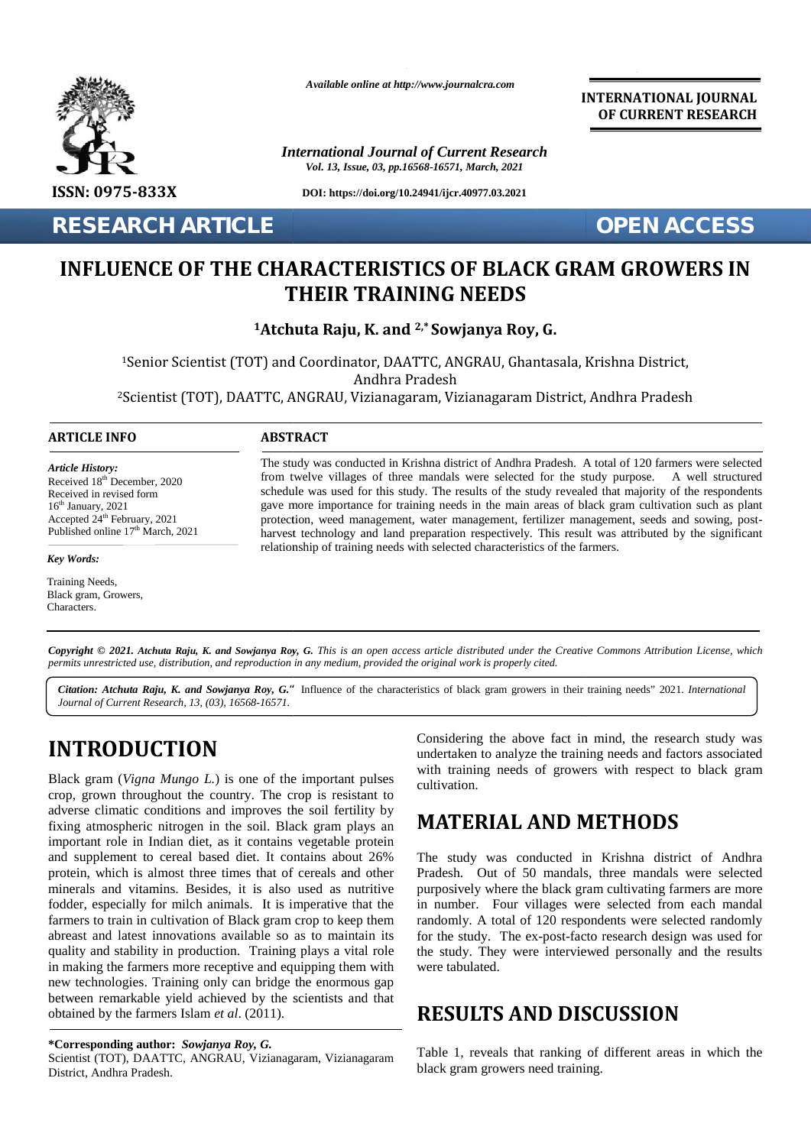

*Available online at http://www.journalcra.com*

*International Journal of Current Research Vol. 13, Issue, 03, pp.16568-16571, March, 2021*

**DOI: https://doi.org/10.24941/ijcr.40977.03.2021**

**RESEARCH ARTICLE OPEN ACCESS**

**INTERNATIONAL JOURNAL OF CURRENT RESEARCH**

### INFLUENCE OF THE CHARACTERISTICS OF BLACK GRAM GROWERS IN<br>THEIR TRAINING NEEDS **THEIR TRAINING NEEDS**

**<sup>1</sup>Atchuta Raju, K. and 2,\* Sowjanya Roy, G. 2,\*Sowjanya** 

<sup>1</sup>Senior Scientist (TOT) and Coordinator, DAATTC, ANGRAU, Ghantasala, Krishna District, Andhra Pradesh <sup>1</sup>Senior Scientist (TOT) and Coordinator, DAATTC, ANGRAU, Ghantasala, Krishna District,<br>Andhra Pradesh<br><sup>2</sup>Scientist (TOT), DAATTC, ANGRAU, Vizianagaram, Vizianagaram District, Andhra Pradesh? **THEIR TRAINING**<br> **THEIR TRAINING**<br>
<sup>1</sup>Senior Scientist (TOT) and Coordinator, DAATTC, AN<br>
Andhra Pradesh<br>
<sup>2</sup>Scientist (TOT), DAATTC, ANGRAU, Vizianagaram, Vi<br> **INFO**<br> **INFO**<br> **EXECUTE:** The study was conducted in Krishna

#### **ARTICLE INFO ABSTRACT ARTICLE ABSTRACT**

*Article History: Article History:* Received  $18<sup>th</sup>$  December, 2020 Received 18<sup>--</sup> December, 2020<br>Received in revised form  $16<sup>th</sup> January, 2021$ Received in revised form<br>
16<sup>th</sup> January, 2021<br>
Accepted 24<sup>th</sup> February, 2021 **p** Published online  $17<sup>th</sup>$  March, 2021  $8^{\text{th}}$  December<br>  $\gamma$ , 2021<br>  $24^{\text{th}}$  Februar<br>  $17^{\text{th}}$  I<br>  $\therefore$ <br>
eeds,<br>  $\therefore$ <br>
eeds,<br>  $\therefore$ <br> *O 2021. A*<br> *restricted u*<br>  $\therefore$  *Atchuta 1*<br>  $\therefore$  *Atchuta 1* 

*Key Words: Key Words:*

Training Needs, Training ivecus,<br>Debulkant, Opening, Neo Framing Needs,<br>Black gram, Growers, Characters.

The study was conducted in Krishna district of Andhra Pradesh. A total of 120 farmers were selected from twelve villages of three mandals were selected for the study purpose. A well structured schedule was used for this study. The results of the study revealed that majority of the respondents gave more importance for training needs in the main areas of black gram cultivation such as plant protection, weed management, water management, fertilizer management, seeds and sowing, post harvest technology and land preparation respectively. This result was attributed by the significant relationship of training needs with selected characteristics of the farmers. The study was conducted in Krishna district of Andhra Pradesh. A total of 120 farmers w<br>from twelve villages of three mandals were selected for the study purpose. A we<br>schedule was used for this study. The results of the s

**Copyright © 2021. Atchuta Raju, K. and Sowjanya Roy, G.** This is an open access article distributed under the Creative Commons Attribution License, which<br>permits unrestricted use, distribution, and reproduction in any med *permits unrestricted use,distribution, and reproduction in any medium, provided the original work is properly cited.*

Citation: Atchuta Raju, K. and Sowjanya Roy, G." Influence of the characteristics of black gram growers in their training needs" 2021. International *Journal of Current Research, 13, (03), 16568-16571.*

# **INTRODUCTION INTRODUCTION**

Black gram (*Vigna Mungo L.*) is one of the important pulses crop, grown throughout the country. The crop is resistant to adverse climatic conditions and improves the soil fertility by fixing atmospheric nitrogen in the soil. Black gram plays an important role in Indian diet, as it contains vegetable protein and supplement to cereal based diet. It contains about 26% protein, which is almost three times that of cereals and other minerals and vitamins. Besides, it is also used as nutritive purp fodder, especially for milch animals. It is imperative that the in r fodder, especially for milch animals. It is imperative that the farmers to train in cultivation of Black gram crop to keep them abreast and latest innovations available so as to maintain its quality and stability in production. Training plays a vital role in making the farmers more receptive and equipping them with new technologies. Training only can bridge the enormous gap farmers to train in cultivation of Black gram crop to keep them<br>abreast and latest innovations available so as to maintain its<br>quality and stability in production. Training plays a vital role<br>in making the farmers more rec obtained by the farmers Islam *et al.* (2011). Black gram (*Vigna Mungo L.*) is one of the important pulses<br>crop, grown throughout the country. The crop is resistant to<br>adverse climatic conditions and improves the soil fertility by<br>fixing atmospheric nitrogen in the so er, 2010<br>
The member willages of three mandals were selected for the study purpose<br>
and the study revealed that ranking energy are more importance for training mechanic particular particular particular particular particul and other<br>sides, it is also used as nutritive<br>h animals. It is imperative that the<br>on of Black gram crop to keep them<br>ons available so as to maintain its<br>duction. Training plays a vital role<br>executive and equipping them wi

Scientist (TOT), DAATTC, ANGRAU, Vizianagaram, Vizianagaram, Table 1,<br>District, Andhra Pradesh. black gra District, Andhra Pradesh.

Considering the above fact in mind, the research study was undertaken to analyze the training needs and factors associated with training needs of growers with respect to black gram cultivation.

### **MATERIAL AND METHODS**

The study was conducted in Krishna district of Andhra Pradesh. Out of 50 mandals, three mandals were selected purposively where the black gram cultivating farmers are more in number. Four villages were selected from each mandal randomly. A total of 120 respondents were selected randomly for the study. The ex-post-facto research design was used for the study. They were interviewed personally and the results were tabulated. ertaken to analyze the training needs and factors associated<br>
1 training needs of growers with respect to black gram<br>
ivation.<br> **ATERIAL AND METHODS**<br>
2 study was conducted in Krishna district of Andhra<br>
desh. Out of 50 ma

### **RESULTS AND DISCUSSION RESULTS AND DISCUSSION**

Table 1, reveals that ranking of different areas in which the black gram growers need training.

**<sup>\*</sup>Corresponding author:** *Sowjanya Roy, G.* **\*Corresponding**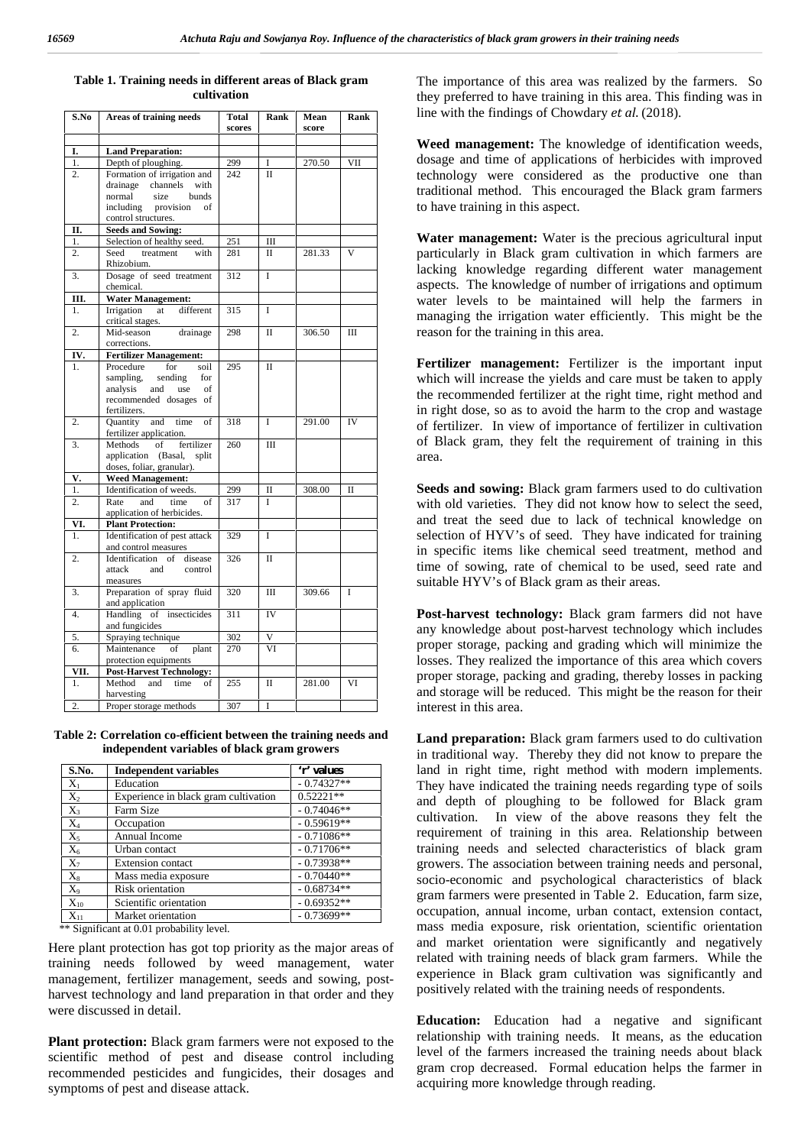| Table 1. Training needs in different areas of Black gram | <b>The</b> |
|----------------------------------------------------------|------------|
| cultivation                                              | they       |

| S.No             | Areas of training needs                                  | Total<br>scores | Rank        | Mean<br>score | Rank |
|------------------|----------------------------------------------------------|-----------------|-------------|---------------|------|
|                  |                                                          |                 |             |               |      |
| I.               | <b>Land Preparation:</b>                                 |                 |             |               |      |
| 1.               | Depth of ploughing.                                      | 299             | T           | 270.50        | VII  |
| 2.               | Formation of irrigation and                              | 242             | $\Pi$       |               |      |
|                  | drainage<br>channels<br>with                             |                 |             |               |      |
|                  | size<br>bunds<br>normal                                  |                 |             |               |      |
|                  | including<br>provision<br>of                             |                 |             |               |      |
|                  | control structures.                                      |                 |             |               |      |
| П.               | <b>Seeds and Sowing:</b>                                 |                 |             |               |      |
| 1.               | Selection of healthy seed.                               | 251             | Ш           |               |      |
| 2.               | Seed<br>treatment<br>with<br>Rhizobium.                  | 281             | П           | 281.33        | V    |
| 3.               | Dosage of seed treatment<br>chemical.                    | 312             | Ī           |               |      |
| Ш.               | <b>Water Management:</b>                                 |                 |             |               |      |
| 1.               | Irrigation<br>different<br>at<br>critical stages.        | 315             | Ī           |               |      |
| $\overline{2}$ . | Mid-season<br>drainage<br>corrections.                   | 298             | $\mathbf I$ | 306.50        | Ш    |
| IV.              | <b>Fertilizer Management:</b>                            |                 |             |               |      |
| 1.               | Procedure<br>for<br>soil                                 | 295             | Π           |               |      |
|                  | sampling,<br>sending<br>for                              |                 |             |               |      |
|                  | analysis<br>and<br>use<br>of                             |                 |             |               |      |
|                  | recommended dosages of                                   |                 |             |               |      |
|                  | fertilizers.                                             |                 |             |               |      |
| 2.               | Quantity<br>and<br>time<br>of<br>fertilizer application. | 318             | L           | 291.00        | IV   |
| 3.               | Methods<br>of<br>fertilizer                              | 260             | Ш           |               |      |
|                  | application<br>(Basal,<br>split                          |                 |             |               |      |
|                  | doses, foliar, granular).                                |                 |             |               |      |
| V.               | <b>Weed Management:</b>                                  |                 |             |               |      |
| 1.               | Identification of weeds.                                 | 299             | п           | 308.00        | Π    |
| 2.               | Rate<br>and<br>time<br>of                                | 317             | Ī           |               |      |
|                  | application of herbicides.                               |                 |             |               |      |
| VI.              | <b>Plant Protection:</b>                                 |                 |             |               |      |
| 1.               | Identification of pest attack<br>and control measures    | 329             | Ī           |               |      |
| 2.               | Identification<br>of<br>disease                          | 326             | П           |               |      |
|                  | attack<br>and<br>control                                 |                 |             |               |      |
|                  | measures                                                 |                 |             |               |      |
| 3.               | Preparation of spray fluid                               | 320             | IΙI         | 309.66        | Ī    |
|                  | and application                                          |                 |             |               |      |
| 4.               | Handling<br>of<br>insecticides                           | 311             | <b>IV</b>   |               |      |
|                  | and fungicides                                           |                 |             |               |      |
| 5.               | Spraying technique                                       | 302             | V           |               |      |
| 6.               | Maintenance<br>plant<br>of                               | 270             | VI          |               |      |
|                  | protection equipments                                    |                 |             |               |      |
| VII.             | <b>Post-Harvest Technology:</b>                          |                 |             |               |      |
| 1.               | Method<br>and<br>time<br>οf<br>harvesting                | 255             | П           | 281.00        | VI   |
| 2.               | Proper storage methods                                   | 307             | I           |               |      |
|                  |                                                          |                 |             |               |      |

**Table 2: Correlation co-efficient between the training needs and independent variables of black gram growers**

| S.No.    | <b>Independent variables</b>         | 'r' values   |
|----------|--------------------------------------|--------------|
| $X_1$    | Education                            | $-0.74327**$ |
| $X_2$    | Experience in black gram cultivation | $0.52221**$  |
| $X_3$    | Farm Size                            | $-0.74046**$ |
| $X_4$    | Occupation                           | $-0.59619**$ |
| $X_5$    | Annual Income                        | $-0.71086**$ |
| $X_6$    | Urban contact                        | $-0.71706**$ |
| $X_7$    | <b>Extension</b> contact             | $-0.73938**$ |
| $X_8$    | Mass media exposure                  | $-0.70440**$ |
| $X_{9}$  | Risk orientation                     | $-0.68734**$ |
| $X_{10}$ | Scientific orientation               | $-0.69352**$ |
| $X_{11}$ | Market orientation                   | $-0.73699**$ |

\*\* Significant at 0.01 probability level.

Here plant protection has got top priority as the major areas of training needs followed by weed management, water management, fertilizer management, seeds and sowing, post harvest technology and land preparation in that order and they were discussed in detail.

**Plant protection:** Black gram farmers were not exposed to the scientific method of pest and disease control including recommended pesticides and fungicides, their dosages and symptoms of pest and disease attack.

The importance of this area was realized by the farmers. So they preferred to have training in this area. This finding was in line with the findings of Chowdary *et al*. (2018).

**Weed management:** The knowledge of identification weeds, dosage and time of applications of herbicides with improved technology were considered as the productive one than traditional method. This encouraged the Black gram farmers to have training in this aspect.

**Water management:** Water is the precious agricultural input particularly in Black gram cultivation in which farmers are lacking knowledge regarding different water management aspects. The knowledge of number of irrigations and optimum water levels to be maintained will help the farmers in managing the irrigation water efficiently. This might be the reason for the training in this area.

**Fertilizer management:** Fertilizer is the important input which will increase the yields and care must be taken to apply the recommended fertilizer at the right time, right method and in right dose, so as to avoid the harm to the crop and wastage of fertilizer. In view of importance of fertilizer in cultivation of Black gram, they felt the requirement of training in this area.

**Seeds and sowing:** Black gram farmers used to do cultivation with old varieties. They did not know how to select the seed, and treat the seed due to lack of technical knowledge on selection of HYV's of seed. They have indicated for training in specific items like chemical seed treatment, method and time of sowing, rate of chemical to be used, seed rate and suitable HYV's of Black gram as their areas.

**Post-harvest technology:** Black gram farmers did not have any knowledge about post-harvest technology which includes proper storage, packing and grading which will minimize the losses. They realized the importance of this area which covers proper storage, packing and grading, thereby losses in packing and storage will be reduced. This might be the reason for their interest in this area.

**Land preparation:** Black gram farmers used to do cultivation in traditional way. Thereby they did not know to prepare the land in right time, right method with modern implements. They have indicated the training needs regarding type of soils and depth of ploughing to be followed for Black gram cultivation. In view of the above reasons they felt the requirement of training in this area. Relationship between training needs and selected characteristics of black gram growers. The association between training needs and personal, socio-economic and psychological characteristics of black gram farmers were presented in Table 2. Education, farm size, occupation, annual income, urban contact, extension contact, mass media exposure, risk orientation, scientific orientation and market orientation were significantly and negatively related with training needs of black gram farmers. While the experience in Black gram cultivation was significantly and positively related with the training needs of respondents.

**Education:** Education had a negative and significant relationship with training needs. It means, as the education level of the farmers increased the training needs about black gram crop decreased. Formal education helps the farmer in acquiring more knowledge through reading.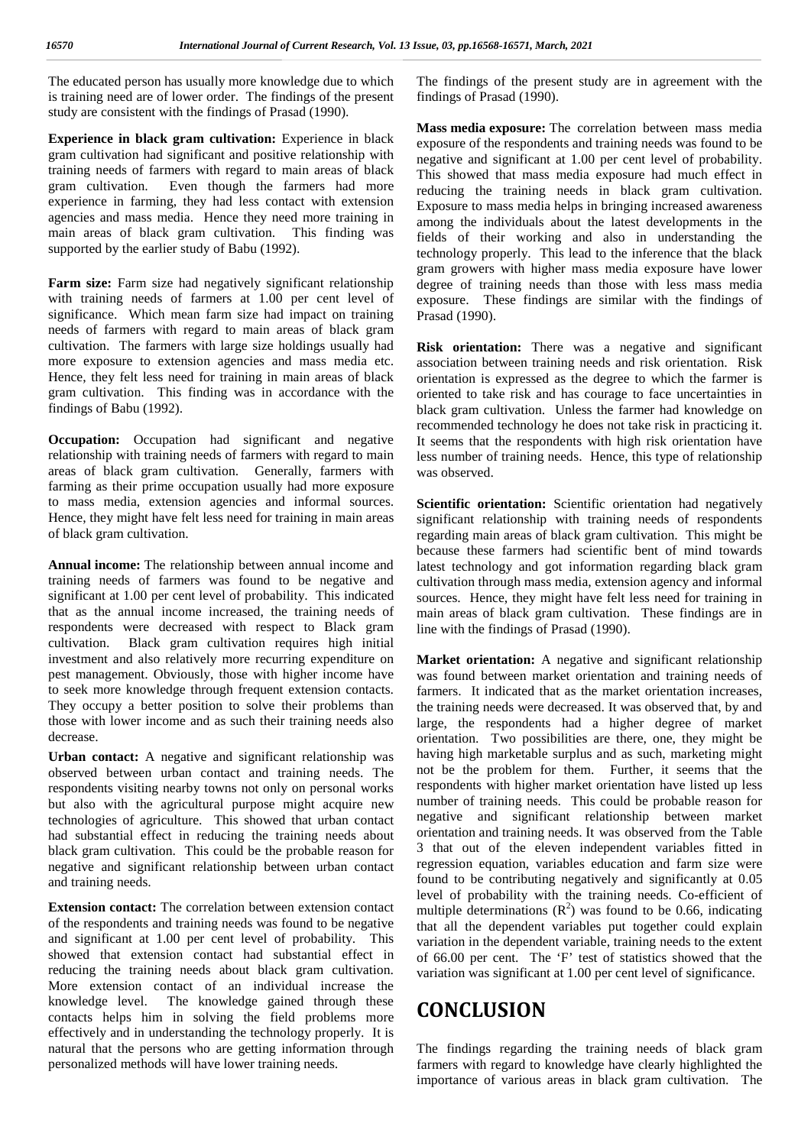The educated person has usually more knowledge due to which is training need are of lower order. The findings of the present study are consistent with the findings of Prasad (1990).

**Experience in black gram cultivation:** Experience in black gram cultivation had significant and positive relationship with training needs of farmers with regard to main areas of black gram cultivation. Even though the farmers had more experience in farming, they had less contact with extension agencies and mass media. Hence they need more training in main areas of black gram cultivation. This finding was supported by the earlier study of Babu (1992).

**Farm size:** Farm size had negatively significant relationship with training needs of farmers at 1.00 per cent level of significance. Which mean farm size had impact on training needs of farmers with regard to main areas of black gram cultivation. The farmers with large size holdings usually had more exposure to extension agencies and mass media etc. Hence, they felt less need for training in main areas of black gram cultivation. This finding was in accordance with the findings of Babu (1992).

**Occupation:** Occupation had significant and negative relationship with training needs of farmers with regard to main areas of black gram cultivation. Generally, farmers with farming as their prime occupation usually had more exposure to mass media, extension agencies and informal sources. Hence, they might have felt less need for training in main areas of black gram cultivation.

**Annual income:** The relationship between annual income and training needs of farmers was found to be negative and significant at 1.00 per cent level of probability. This indicated that as the annual income increased, the training needs of respondents were decreased with respect to Black gram cultivation. Black gram cultivation requires high initial investment and also relatively more recurring expenditure on pest management. Obviously, those with higher income have to seek more knowledge through frequent extension contacts. They occupy a better position to solve their problems than those with lower income and as such their training needs also decrease.

**Urban contact:** A negative and significant relationship was observed between urban contact and training needs. The respondents visiting nearby towns not only on personal works but also with the agricultural purpose might acquire new technologies of agriculture. This showed that urban contact had substantial effect in reducing the training needs about black gram cultivation. This could be the probable reason for negative and significant relationship between urban contact and training needs.

**Extension contact:** The correlation between extension contact of the respondents and training needs was found to be negative and significant at 1.00 per cent level of probability. This showed that extension contact had substantial effect in reducing the training needs about black gram cultivation. More extension contact of an individual increase the knowledge level. The knowledge gained through these contacts helps him in solving the field problems more effectively and in understanding the technology properly. It is natural that the persons who are getting information through personalized methods will have lower training needs.

The findings of the present study are in agreement with the findings of Prasad (1990).

**Mass media exposure:** The correlation between mass media exposure of the respondents and training needs was found to be negative and significant at 1.00 per cent level of probability. This showed that mass media exposure had much effect in reducing the training needs in black gram cultivation. Exposure to mass media helps in bringing increased awareness among the individuals about the latest developments in the fields of their working and also in understanding the technology properly. This lead to the inference that the black gram growers with higher mass media exposure have lower degree of training needs than those with less mass media exposure. These findings are similar with the findings of Prasad (1990).

**Risk orientation:** There was a negative and significant association between training needs and risk orientation. Risk orientation is expressed as the degree to which the farmer is oriented to take risk and has courage to face uncertainties in black gram cultivation. Unless the farmer had knowledge on recommended technology he does not take risk in practicing it. It seems that the respondents with high risk orientation have less number of training needs. Hence, this type of relationship was observed.

**Scientific orientation:** Scientific orientation had negatively significant relationship with training needs of respondents regarding main areas of black gram cultivation. This might be because these farmers had scientific bent of mind towards latest technology and got information regarding black gram cultivation through mass media, extension agency and informal sources. Hence, they might have felt less need for training in main areas of black gram cultivation. These findings are in line with the findings of Prasad (1990).

**Market orientation:** A negative and significant relationship was found between market orientation and training needs of farmers. It indicated that as the market orientation increases, the training needs were decreased. It was observed that, by and large, the respondents had a higher degree of market orientation. Two possibilities are there, one, they might be having high marketable surplus and as such, marketing might not be the problem for them. Further, it seems that the respondents with higher market orientation have listed up less number of training needs. This could be probable reason for negative and significant relationship between market orientation and training needs. It was observed from the Table 3 that out of the eleven independent variables fitted in regression equation, variables education and farm size were found to be contributing negatively and significantly at 0.05 level of probability with the training needs. Co-efficient of multiple determinations  $(R^2)$  was found to be 0.66, indicating that all the dependent variables put together could explain variation in the dependent variable, training needs to the extent of 66.00 per cent. The 'F' test of statistics showed that the variation was significant at 1.00 per cent level of significance.

## **CONCLUSION**

The findings regarding the training needs of black gram farmers with regard to knowledge have clearly highlighted the importance of various areas in black gram cultivation. The